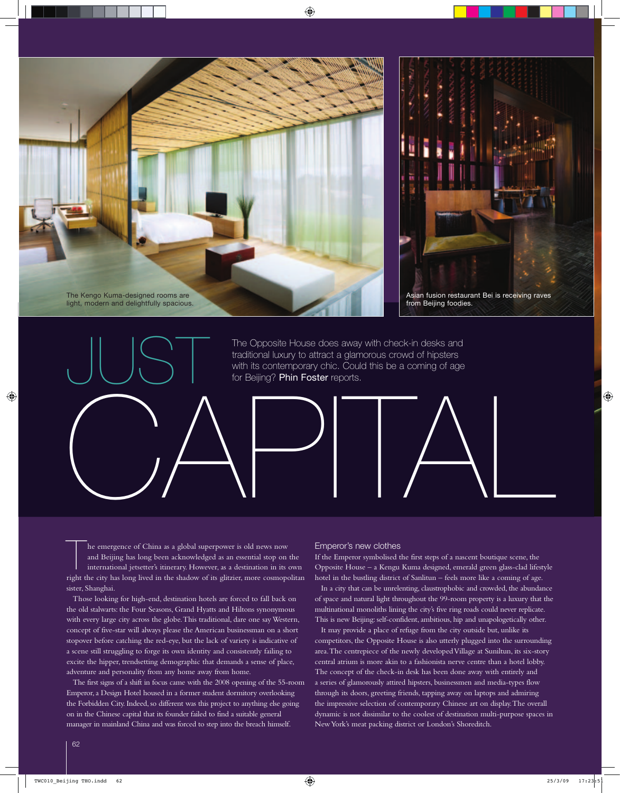



Asian fusion restaurant Bei is receiving raves from Beijing foodies.

CAPITAL The Opposite House does away with check-in desks and traditional luxury to attract a glamorous crowd of hipsters with its contemporary chic. Could this be a coming of age for Beijing? Phin Foster reports.

he emergence of China as a global superpower is old news now and Beijing has long been acknowledged as an essential stop on the international jetsetter's itinerary. However, as a destination in its own right the city has long lived in the shadow of its glitzier, more cosmopolitan sister, Shanghai.

JUST

Those looking for high-end, destination hotels are forced to fall back on the old stalwarts: the Four Seasons, Grand Hyatts and Hiltons synonymous with every large city across the globe. This traditional, dare one say Western, concept of five-star will always please the American businessman on a short stopover before catching the red-eye, but the lack of variety is indicative of a scene still struggling to forge its own identity and consistently failing to excite the hipper, trendsetting demographic that demands a sense of place, adventure and personality from any home away from home.

The first signs of a shift in focus came with the 2008 opening of the 55-room Emperor, a Design Hotel housed in a former student dormitory overlooking the Forbidden City. Indeed, so different was this project to anything else going on in the Chinese capital that its founder failed to find a suitable general manager in mainland China and was forced to step into the breach himself.

## Emperor's new clothes

If the Emperor symbolised the first steps of a nascent boutique scene, the Opposite House – a Kengu Kuma designed, emerald green glass-clad lifestyle hotel in the bustling district of Sanlitun – feels more like a coming of age.

In a city that can be unrelenting, claustrophobic and crowded, the abundance of space and natural light throughout the 99-room property is a luxury that the multinational monoliths lining the city's five ring roads could never replicate. This is new Beijing: self-confident, ambitious, hip and unapologetically other.

It may provide a place of refuge from the city outside but, unlike its competitors, the Opposite House is also utterly plugged into the surrounding area. The centrepiece of the newly developed Village at Suniltun, its six-story central atrium is more akin to a fashionista nerve centre than a hotel lobby. The concept of the check-in desk has been done away with entirely and a series of glamorously attired hipsters, businessmen and media-types flow through its doors, greeting friends, tapping away on laptops and admiring the impressive selection of contemporary Chinese art on display. The overall dynamic is not dissimilar to the coolest of destination multi-purpose spaces in New York's meat packing district or London's Shoreditch.